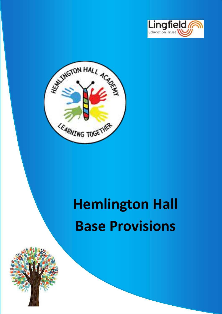



# **Hemlington Hall Base Provisions**

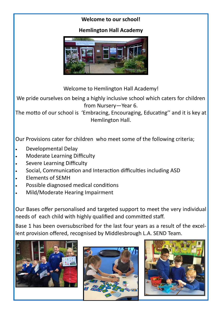#### **Welcome to our school!**

#### **Hemlington Hall Academy**



Welcome to Hemlington Hall Academy!

We pride ourselves on being a highly inclusive school which caters for children from Nursery—Year 6.

The motto of our school is 'Embracing, Encouraging, Educating'' and it is key at Hemlington Hall.

Our Provisions cater for children who meet some of the following criteria;

- Developmental Delay
- Moderate Learning Difficulty
- Severe Learning Difficulty
- Social, Communication and Interaction difficulties including ASD
- Elements of SEMH
- Possible diagnosed medical conditions
- Mild/Moderate Hearing Impairment

Our Bases offer personalised and targeted support to meet the very individual needs of each child with highly qualified and committed staff.

Base 1 has been oversubscribed for the last four years as a result of the excellent provision offered, recognised by Middlesbrough L.A. SEND Team.





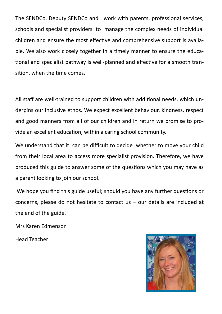The SENDCo, Deputy SENDCo and I work with parents, professional services, schools and specialist providers to manage the complex needs of individual children and ensure the most effective and comprehensive support is available. We also work closely together in a timely manner to ensure the educational and specialist pathway is well-planned and effective for a smooth transition, when the time comes.

All staff are well-trained to support children with additional needs, which underpins our inclusive ethos. We expect excellent behaviour, kindness, respect and good manners from all of our children and in return we promise to provide an excellent education, within a caring school community.

We understand that it can be difficult to decide whether to move your child from their local area to access more specialist provision. Therefore, we have produced this guide to answer some of the questions which you may have as a parent looking to join our school.

We hope you find this guide useful; should you have any further questions or concerns, please do not hesitate to contact us – our details are included at the end of the guide.

Mrs Karen Edmenson

Head Teacher

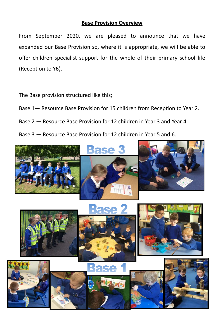#### **Base Provision Overview**

From September 2020, we are pleased to announce that we have expanded our Base Provision so, where it is appropriate, we will be able to offer children specialist support for the whole of their primary school life (Reception to Y6).

The Base provision structured like this;

- Base 1— Resource Base Provision for 15 children from Reception to Year 2.
- Base 2 Resource Base Provision for 12 children in Year 3 and Year 4.
- Base 3 Resource Base Provision for 12 children in Year 5 and 6.

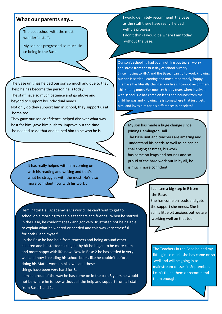#### **What our parents say...**

The best school with the most wonderful staff.

My son has progressed so much sin ce being in the Base.

The Base unit has helped our son so much and due to that help he has become the person he is today.

The staff have so much patience and go above and beyond to support his individual needs.

Not only do they support him in school, they support us at home too.

They gave our son confidence, helped discover what was best for him, gave him push to improve but the time he needed to do that and helped him to be who he is.

> It has really helped with him coming on with his reading and writing and that's what he struggles with the most. He's also more confident now with his work .

I would definitely recommend the base as the staff there have really helped with J's progress. I don't think I would be where I am today

without the Base.

Our son's schooling had been nothing but tears , worry and stress from the first day of school nursery. Since moving to HHA and the Base, I can go to work knowing our son is settled, learning and most importantly, happy. The Base has literally changed our lives. I cannot recommend this setting more. We now cry happy tears when involved with school. He has come on leaps and bounds from the child he was and knowing he is somewhere that just 'gets him' and loves him for his differences is priceless!

My son has made a huge change since joining Hemlington Hall.

The Base unit and teachers are amazing and understand his needs so well as he can be challenging at times, his work has come on leaps and bounds and so proud of the hard work put in by all, he is much more confident .

> I can see a big step in E from the Base.

She has come on loads and gets the support she needs. She is still a little bit anxious but we are working well on that too.



In the Base he had help from teachers and being around other children and he started talking bit by bit he began to be more calm and more happy with life now. Now in Base 2 he has settled in very well and now is reading his school books like he couldn't before, doing his Maths work on his own and these things have been very hard for B.

I am so proud of the way he has come on in the past 5 years he would not be where he is now without all the help and support from all staff from Base 1 and 2.



The Teachers in the Base helped my little girl so much she has come on so well and will be going in to mainstream classes in September. I can't thank them or recommend them enough.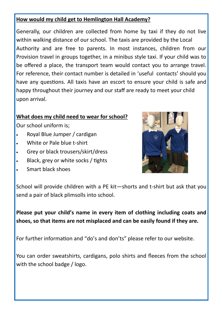#### **How would my child get to Hemlington Hall Academy?**

Generally, our children are collected from home by taxi if they do not live Provision travel in groups together, in a minibus style taxi. If your child was to be offered a place, the transport team would contact you to arrange travel. For reference, their contact number is detailed in 'useful contacts' should you have any questions. All taxis have an escort to ensure your child is safe and happy throughout their journey and our staff are ready to meet your child  $\alpha$ pon arrival. Assessed placements are arranged involving a set  $\alpha$  set  $\alpha$  set  $\alpha$ within walking distance of our school. The taxis are provided by the Local Authority and are free to parents. In most instances, children from our

#### **What does my child need to wear for school?**

Our school uniform is;

- Royal Blue Jumper / cardigan
- White or Pale blue t-shirt
- Grey or black trousers/skirt/dress
- Black, grey or white socks / tights
- Smart black shoes



School will provide children with a PE kit—shorts and t-shirt but ask that you send a pair of black plimsolls into school.

**Please put your child's name in every item of clothing including coats and shoes, so that items are not misplaced and can be easily found if they are.**

For further information and "do's and don'ts" please refer to our website.

You can order sweatshirts, cardigans, polo shirts and fleeces from the school with the school badge / logo.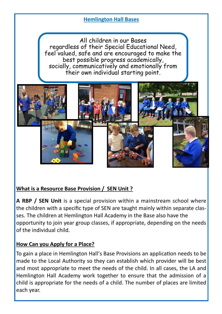#### **Hemlington Hall Bases**

**Why would my child access Mount Pleasant Resource d Provision?**  The majority of children accessing our resourced provision have a diagnosis feel valued, safe and are encouraged to make the socially, communicatively and emotionally from their own individual starting point. All children in our Bases regardless of their Special Educational Need, best possible progress academically,



### **What is a Resource Base Provision / SEN Unit ?**

**A RBP / SEN Unit** is a special provision within a mainstream school where the children with a specific type of SEN are taught mainly within separate classes. The children at Hemlington Hall Academy in the Base also have the opportunity to join year group classes, if appropriate, depending on the needs of the individual child.

#### **How Can you Apply for a Place?**

To gain a place in Hemlington Hall's Base Provisions an application needs to be made to the Local Authority so they can establish which provider will be best and most appropriate to meet the needs of the child. In all cases, the LA and Hemlington Hall Academy work together to ensure that the admission of a child is appropriate for the needs of a child. The number of places are limited each year.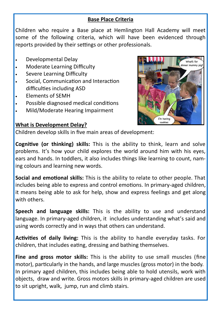#### **Base Place Criteria**

Children who require a Base place at Hemlington Hall Academy will meet some of the following criteria, which will have been evidenced through reports provided by their settings or other professionals.

- Developmental Delay
- Moderate Learning Difficulty
- Severe Learning Difficulty
- Social, Communication and Interaction difficulties including ASD
- Elements of SEMH
- Possible diagnosed medical conditions
- Mild/Moderate Hearing Impairment



#### **What is Development Delay?**

Children develop skills in five main areas of development:

**Cognitive (or thinking) skills:** This is the ability to think, learn and solve problems. It's how your child explores the world around him with his eyes, ears and hands. In [toddlers,](https://www.understood.org/en/learning-attention-issues/signs-symptoms/developmental-milestones/developmental-milestones-for-typical-2-year-olds) it also includes things like learning to count, naming colours and learning new words.

**Social and emotional skills:** This is the ability to relate to other people. That includes being able to express and [control emotions.](https://www.understood.org/en/friends-feelings/common-challenges/self-control/at-a-glance-3-types-of-self-control-issues) In primary-aged children, it means being able to ask for help, show and express feelings and [get along](https://www.understood.org/en/friends-feelings/common-challenges/making-keeping-friends/6-ways-to-help-your-preschooler-connect-with-other-kids)  [with others.](https://www.understood.org/en/friends-feelings/common-challenges/making-keeping-friends/6-ways-to-help-your-preschooler-connect-with-other-kids)

**Speech and language skills:** This is the ability to use and understand language. In primary-aged children, it includes understanding what's said and using words correctly and in ways that others can understand.

**Activities of daily living:** This is the ability to handle everyday tasks. For children, that includes eating, dressing and bathing themselves.

**Fine and gross motor skills:** This is the ability to use small muscles ([fine](https://www.understood.org/en/learning-attention-issues/child-learning-disabilities/movement-coordination-issues/all-about-fine-motor-skills)  [motor\),](https://www.understood.org/en/learning-attention-issues/child-learning-disabilities/movement-coordination-issues/all-about-fine-motor-skills) particularly in the hands, and large muscles ([gross motor\)](https://www.understood.org/en/learning-attention-issues/child-learning-disabilities/movement-coordination-issues/all-about-gross-motor-skills) in the body. In primary aged children, this includes being able to hold utensils, work with objects, draw and write. Gross motors skills in primary-aged children are used to sit upright, walk, jump, run and climb stairs.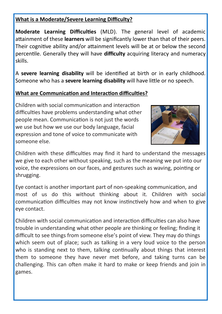#### **What is a Moderate/Severe Learning Difficulty?**

**Moderate Learning Difficulties** (MLD). The general level of academic attainment of these **learners** will be significantly lower than that of their peers. Their cognitive ability and/or attainment levels will be at or below the second percentile. Generally they will have **difficulty** acquiring literacy and numeracy skills.

A **severe learning disability** will be identified at birth or in early childhood. Someone who has a **severe learning disability** will have little or no speech.

#### **What are Communication and Interaction difficulties?**

Children with social communication and interaction difficulties have problems understanding what other people mean. Communication is not just the words we use but how we use our body language, facial expression and tone of voice to communicate with someone else.



Children with these difficulties may find it hard to understand the messages we give to each other without speaking, such as the meaning we put into our voice, the expressions on our faces, and gestures such as waving, pointing or shrugging.

Eye contact is another important part of non-speaking communication, and most of us do this without thinking about it. Children with social communication difficulties may not know instinctively how and when to give eye contact.

Children with social communication and interaction difficulties can also have trouble in understanding what other people are thinking or feeling; finding it difficult to see things from someone else's point of view. They may do things which seem out of place; such as talking in a very loud voice to the person who is standing next to them, talking continually about things that interest them to someone they have never met before, and taking turns can be challenging. This can often make it hard to make or keep friends and join in games.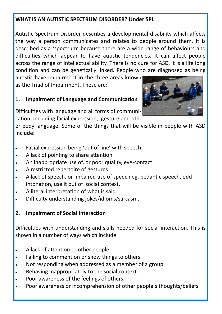#### **WHAT IS AN AUTISTIC SPECTRUM DISORDER? Under SPL**

Autistic Spectrum Disorder describes a developmental disability which affects the way a person communicates and relates to people around them. It is described as a 'spectrum' because there are a wide range of behaviours and difficulties which appear to have autistic tendencies. It can affect people across the range of intellectual ability. There is no cure for ASD, it is a life long condition and can be genetically linked. People who are diagnosed as being

autistic have impairment in the three areas known as the Triad of Impairment. These are:-

#### **1. Impairment of Language and Communication**

Difficulties with language and all forms of communication, including facial expression, gesture and oth-

er body language. Some of the things that will be visible in people with ASD include:

- Facial expression being 'out of line' with speech.
- A lack of pointing to share attention.
- An inappropriate use of, or poor quality, eye-contact.
- A restricted repertoire of gestures.
- A lack of speech, or impaired use of speech eg. pedantic speech, odd intonation, use it out of social context.
- A literal interpretation of what is said.
- Difficulty understanding jokes/idioms/sarcasm.

### **2. Impairment of Social Interaction**

Difficulties with understanding and skills needed for social interaction. This is shown in a number of ways which include:

- A lack of attention to other people.
- Failing to comment on or show things to others.
- Not responding when addressed as a member of a group.
- Behaving inappropriately to the social context.
- Poor awareness of the feelings of others.
- Poor awareness or incomprehension of other people's thoughts/beliefs

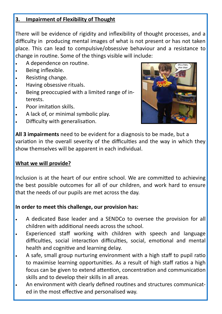#### **3. Impairment of Flexibility of Thought**

There will be evidence of rigidity and inflexibility of thought processes, and a difficulty in producing mental images of what is not present or has not taken place. This can lead to compulsive/obsessive behaviour and a resistance to change in routine. Some of the things visible will include:

- A dependence on routine.
- Being inflexible.
- Resisting change.
- Having obsessive rituals.
- Being preoccupied with a limited range of interests.
- Poor imitation skills.
- A lack of, or minimal symbolic play.
- Difficulty with generalisation.



**All 3 impairments** need to be evident for a diagnosis to be made, but a variation in the overall severity of the difficulties and the way in which they show themselves will be apparent in each individual.

### **What we will provide?**

Inclusion is at the heart of our entire school. We are committed to achieving the best possible outcomes for all of our children, and work hard to ensure that the needs of our pupils are met across the day.

### **In order to meet this challenge, our provision has:**

- A dedicated Base leader and a SENDCo to oversee the provision for all children with additional needs across the school.
- Experienced staff working with children with speech and language difficulties, social interaction difficulties, social, emotional and mental health and cognitive and learning delay.
- A safe, small group nurturing environment with a high staff to pupil ratio to maximise learning opportunities. As a result of high staff ratios a high focus can be given to extend attention, concentration and communication skills and to develop their skills in all areas.
- An environment with clearly defined routines and structures communicated in the most effective and personalised way.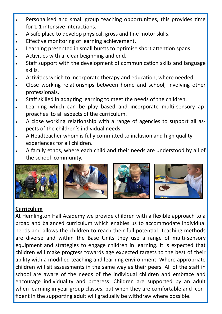- Personalised and small group teaching opportunities, this provides time for 1:1 intensive interactions.
- A safe place to develop physical, gross and fine motor skills.
- Effective monitoring of learning achievement.
- Learning presented in small bursts to optimise short attention spans.
- Activities with a clear beginning and end.
- Staff support with the development of communication skills and language skills.
- Activities which to incorporate therapy and education, where needed.
- Close working relationships between home and school, involving other professionals.
- Staff skilled in adapting learning to meet the needs of the children.
- Learning which can be play based and incorporate multi-sensory approaches to all aspects of the curriculum.
- A close working relationship with a range of agencies to support all aspects of the children's individual needs.
- A Headteacher whom is fully committed to inclusion and high quality experiences for all children.
- A family ethos, where each child and their needs are understood by all of the school community.









### **Curriculum**

At Hemlington Hall Academy we provide children with a flexible approach to a broad and balanced curriculum which enables us to accommodate individual needs and allows the children to reach their full potential. Teaching methods are diverse and within the Base Units they use a range of multi-sensory equipment and strategies to engage children in learning. It is expected that children will make progress towards age expected targets to the best of their ability with a modified teaching and learning environment. Where appropriate children will sit assessments in the same way as their peers. All of the staff in school are aware of the needs of the individual children and embrace and encourage individuality and progress. Children are supported by an adult when learning in year group classes, but when they are comfortable and confident in the supporting adult will gradually be withdraw where possible.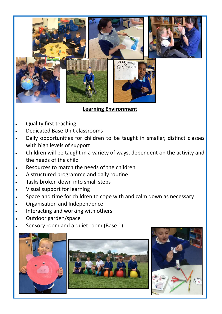

#### **Learning Environment**

- Quality first teaching
- Dedicated Base Unit classrooms
- Daily opportunities for children to be taught in smaller, distinct classes with high levels of support
- Children will be taught in a variety of ways, dependent on the activity and the needs of the child
- Resources to match the needs of the children
- A structured programme and daily routine
- Tasks broken down into small steps
- Visual support for learning
- Space and time for children to cope with and calm down as necessary
- Organisation and Independence
- Interacting and working with others
- Outdoor garden/space
- Sensory room and a quiet room (Base 1)





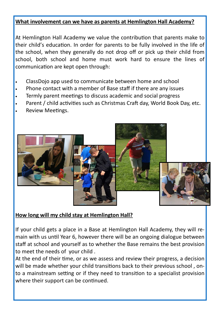#### **What involvement can we have as parents at Hemlington Hall Academy?**

At Hemlington Hall Academy we value the contribution that parents make to their child's education. In order for parents to be fully involved in the life of the school, when they generally do not drop off or pick up their child from school, both school and home must work hard to ensure the lines of communication are kept open through:

- ClassDojo app used to communicate between home and school
- Phone contact with a member of Base staff if there are any issues
- Termly parent meetings to discuss academic and social progress
- Parent / child activities such as Christmas Craft day, World Book Day, etc.
- Review Meetings.



#### **How long will my child stay at Hemlington Hall?**

If your child gets a place in a Base at Hemlington Hall Academy, they will remain with us until Year 6, however there will be an ongoing dialogue between staff at school and yourself as to whether the Base remains the best provision to meet the needs of your child .

At the end of their time, or as we assess and review their progress, a decision will be made whether your child transitions back to their previous school , onto a mainstream setting or if they need to transition to a specialist provision where their support can be continued.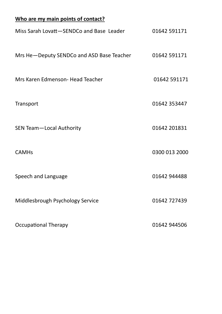# **Who are my main points of contact?** Miss Sarah Lovatt-SENDCo and Base Leader 01642 591171 Mrs He-Deputy SENDCo and ASD Base Teacher 01642 591171 Mrs Karen Edmenson- Head Teacher 1986 1992 1992 1994 1994 Transport 01642 353447 SEN Team-Local Authority 01642 201831 CAMHs 0300 013 2000 Speech and Language 01642 944488 Middlesbrough Psychology Service 01642 727439 Occupational Therapy **01642 944506**